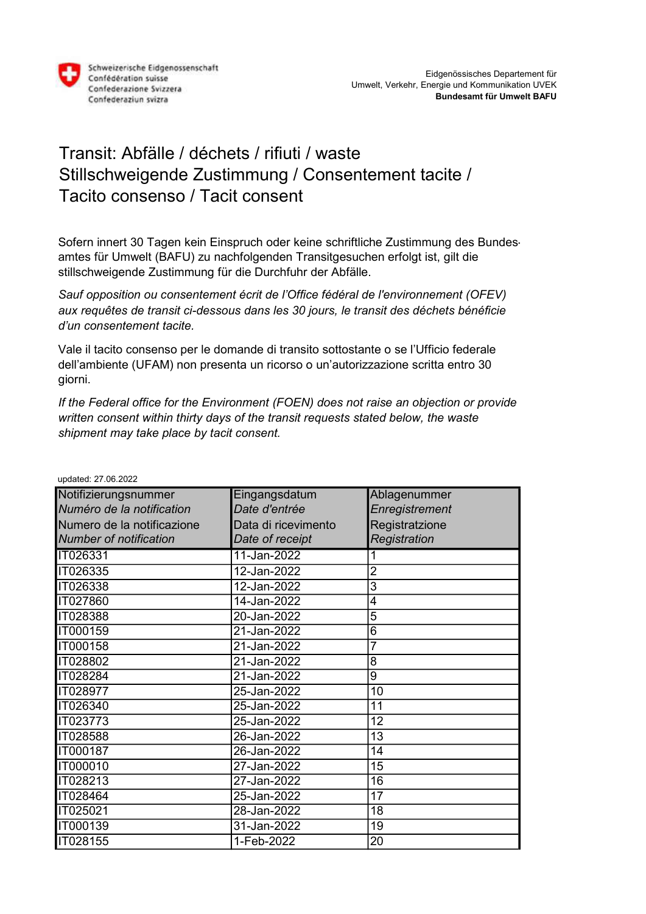

## Transit: Abfälle / déchets / rifiuti / waste Stillschweigende Zustimmung / Consentement tacite / Tacito consenso / Tacit consent

Sofern innert 30 Tagen kein Einspruch oder keine schriftliche Zustimmung des Bundesamtes für Umwelt (BAFU) zu nachfolgenden Transitgesuchen erfolgt ist, gilt die stillschweigende Zustimmung für die Durchfuhr der Abfälle.

Sauf opposition ou consentement écrit de l'Office fédéral de l'environnement (OFEV) aux requêtes de transit ci-dessous dans les 30 jours, le transit des déchets bénéficie d'un consentement tacite.

Vale il tacito consenso per le domande di transito sottostante o se l'Ufficio federale dell'ambiente (UFAM) non presenta un ricorso o un'autorizzazione scritta entro 30 giorni.

If the Federal office for the Environment (FOEN) does not raise an objection or provide written consent within thirty days of the transit requests stated below, the waste shipment may take place by tacit consent.

| Notifizierungsnummer       | Eingangsdatum       | Ablagenummer   |
|----------------------------|---------------------|----------------|
| Numéro de la notification  | Date d'entrée       | Enregistrement |
| Numero de la notificazione | Data di ricevimento | Registratzione |
| Number of notification     | Date of receipt     | Registration   |
| IT026331                   | 11-Jan-2022         |                |
| IT026335                   | 12-Jan-2022         | $\overline{2}$ |
| IT026338                   | 12-Jan-2022         | $\overline{3}$ |
| IT027860                   | 14-Jan-2022         | 4              |
| IT028388                   | 20-Jan-2022         | 5              |
| IT000159                   | 21-Jan-2022         | 6              |
| IT000158                   | 21-Jan-2022         |                |
| IT028802                   | 21-Jan-2022         | 8              |
| IT028284                   | 21-Jan-2022         | 9              |
| IT028977                   | 25-Jan-2022         | 10             |
| IT026340                   | 25-Jan-2022         | 11             |
| IT023773                   | 25-Jan-2022         | 12             |
| IT028588                   | 26-Jan-2022         | 13             |
| IT000187                   | 26-Jan-2022         | 14             |
| IT000010                   | 27-Jan-2022         | 15             |
| IT028213                   | 27-Jan-2022         | 16             |
| IT028464                   | 25-Jan-2022         | 17             |
| IT025021                   | 28-Jan-2022         | 18             |
| IT000139                   | 31-Jan-2022         | 19             |
| IT028155                   | 1-Feb-2022          | 20             |

updated: 27.06.2022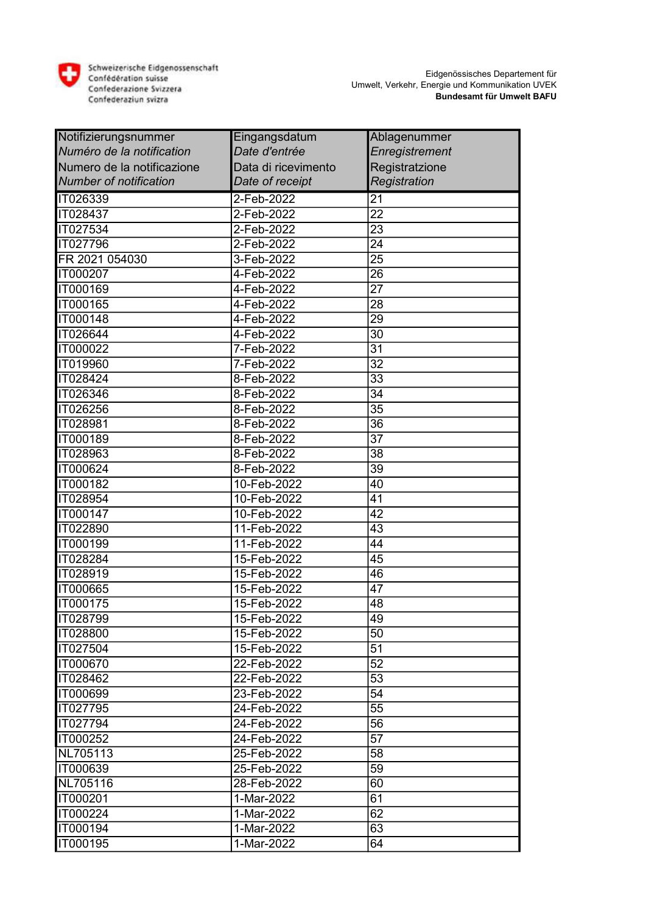

| Notifizierungsnummer          | Eingangsdatum       | Ablagenummer    |
|-------------------------------|---------------------|-----------------|
| Numéro de la notification     | Date d'entrée       | Enregistrement  |
| Numero de la notificazione    | Data di ricevimento | Registratzione  |
| <b>Number of notification</b> | Date of receipt     | Registration    |
| IT026339                      | 2-Feb-2022          | 21              |
| IT028437                      | 2-Feb-2022          | 22              |
| IT027534                      | 2-Feb-2022          | 23              |
| <b>IT027796</b>               | 2-Feb-2022          | 24              |
| FR 2021 054030                | 3-Feb-2022          | 25              |
| IT000207                      | 4-Feb-2022          | 26              |
| IT000169                      | 4-Feb-2022          | 27              |
| IT000165                      | 4-Feb-2022          | 28              |
| IT000148                      | 4-Feb-2022          | 29              |
| IT026644                      | 4-Feb-2022          | 30              |
| IT000022                      | 7-Feb-2022          | $\overline{31}$ |
| IT019960                      | 7-Feb-2022          | 32              |
| IT028424                      | 8-Feb-2022          | 33              |
| IT026346                      | 8-Feb-2022          | 34              |
| IT026256                      | 8-Feb-2022          | 35              |
| IT028981                      | 8-Feb-2022          | 36              |
| IT000189                      | 8-Feb-2022          | 37              |
| <b>IT028963</b>               | 8-Feb-2022          | 38              |
| IT000624                      | 8-Feb-2022          | 39              |
| IT000182                      | 10-Feb-2022         | 40              |
| IT028954                      | 10-Feb-2022         | 41              |
| IT000147                      | 10-Feb-2022         | 42              |
| IT022890                      | 11-Feb-2022         | 43              |
| IT000199                      | 11-Feb-2022         | 44              |
| IT028284                      | 15-Feb-2022         | 45              |
| IT028919                      | 15-Feb-2022         | 46              |
| <b>IT000665</b>               | 15-Feb-2022         | 47              |
| IT000175                      | 15-Feb-2022         | 48              |
| IT028799                      | 15-Feb-2022         | 49              |
| IT028800                      | 15-Feb-2022         | 50              |
| IT027504                      | 15-Feb-2022         | $\overline{51}$ |
| IT000670                      | 22-Feb-2022         | 52              |
| IT028462                      | 22-Feb-2022         | 53              |
| IT000699                      | 23-Feb-2022         | 54              |
| IT027795                      | 24-Feb-2022         | 55              |
| IT027794                      | 24-Feb-2022         | 56              |
| IT000252                      | 24-Feb-2022         | $\overline{57}$ |
| NL705113                      | 25-Feb-2022         | 58              |
| IT000639                      | 25-Feb-2022         | 59              |
| NL705116                      | 28-Feb-2022         | 60              |
| IT000201                      | 1-Mar-2022          | 61              |
| IT000224                      | 1-Mar-2022          | 62              |
| IT000194                      | 1-Mar-2022          | 63              |
| IT000195                      | 1-Mar-2022          | 64              |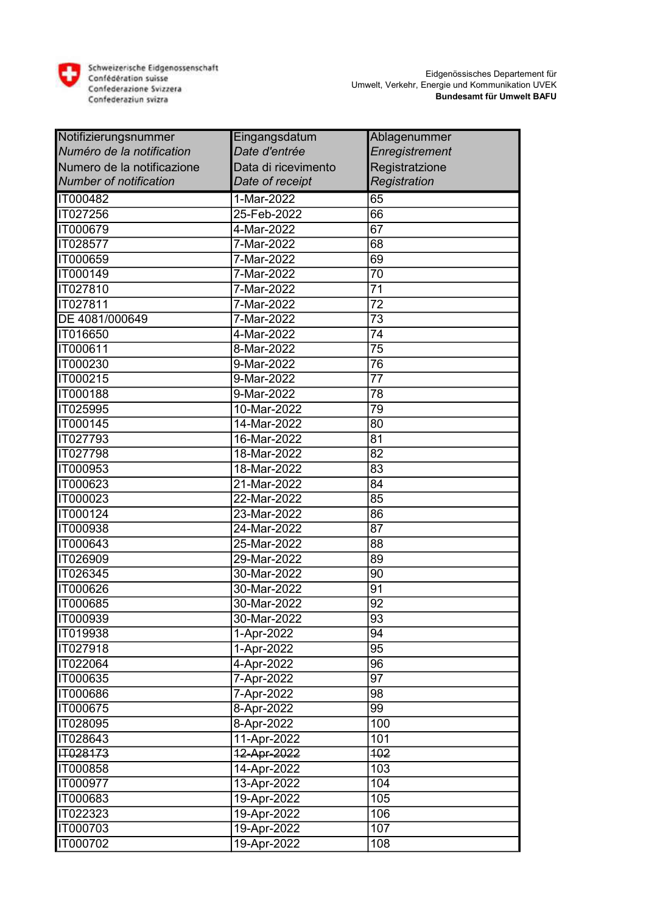

| Notifizierungsnummer       | Eingangsdatum       | Ablagenummer    |
|----------------------------|---------------------|-----------------|
| Numéro de la notification  | Date d'entrée       | Enregistrement  |
| Numero de la notificazione | Data di ricevimento | Registratzione  |
| Number of notification     | Date of receipt     | Registration    |
| IT000482                   | 1-Mar-2022          | 65              |
| IT027256                   | 25-Feb-2022         | 66              |
| IT000679                   | 4-Mar-2022          | $\overline{67}$ |
| IT028577                   | 7-Mar-2022          | 68              |
| <b>IT000659</b>            | 7-Mar-2022          | 69              |
| IT000149                   | 7-Mar-2022          | 70              |
| IT027810                   | 7-Mar-2022          | 71              |
| <b>IT027811</b>            | 7-Mar-2022          | 72              |
| DE 4081/000649             | 7-Mar-2022          | 73              |
| IT016650                   | 4-Mar-2022          | 74              |
| IT000611                   | 8-Mar-2022          | 75              |
| IT000230                   | 9-Mar-2022          | 76              |
| IT000215                   | 9-Mar-2022          | 77              |
| IT000188                   | 9-Mar-2022          | 78              |
| IT025995                   | 10-Mar-2022         | 79              |
| IT000145                   | 14-Mar-2022         | 80              |
| IT027793                   | 16-Mar-2022         | 81              |
| IT027798                   | 18-Mar-2022         | 82              |
| IT000953                   | 18-Mar-2022         | 83              |
| IT000623                   | 21-Mar-2022         | $8\bar{4}$      |
| IT000023                   | 22-Mar-2022         | 85              |
| IT000124                   | 23-Mar-2022         | 86              |
| <b>IT000938</b>            | 24-Mar-2022         | 87              |
| IT000643                   | 25-Mar-2022         | 88              |
| IT026909                   | 29-Mar-2022         | 89              |
| IT026345                   | 30-Mar-2022         | 90              |
| IT000626                   | 30-Mar-2022         | 91              |
| IT000685                   | 30-Mar-2022         | 92              |
| <b>IT000939</b>            | 30-Mar-2022         | 93              |
| IT019938                   | 1-Apr-2022          | 94              |
| IT027918                   | 1-Apr-2022          | 95              |
| IT022064                   | 4-Apr-2022          | 96              |
| IT000635                   | 7-Apr-2022          | 97              |
| IT000686                   | 7-Apr-2022          | 98              |
| IT000675                   | 8-Apr-2022          | 99              |
| IT028095                   | 8-Apr-2022          | 100             |
| IT028643                   | 11-Apr-2022         | 101             |
| IT028173                   | 12-Apr-2022         | 402             |
| IT000858                   | 14-Apr-2022         | 103             |
| IT000977                   | 13-Apr-2022         | 104             |
| IT000683                   | 19-Apr-2022         | 105             |
| IT022323                   | 19-Apr-2022         | 106             |
| IT000703                   | 19-Apr-2022         | 107             |
| <b>IT000702</b>            | 19-Apr-2022         | 108             |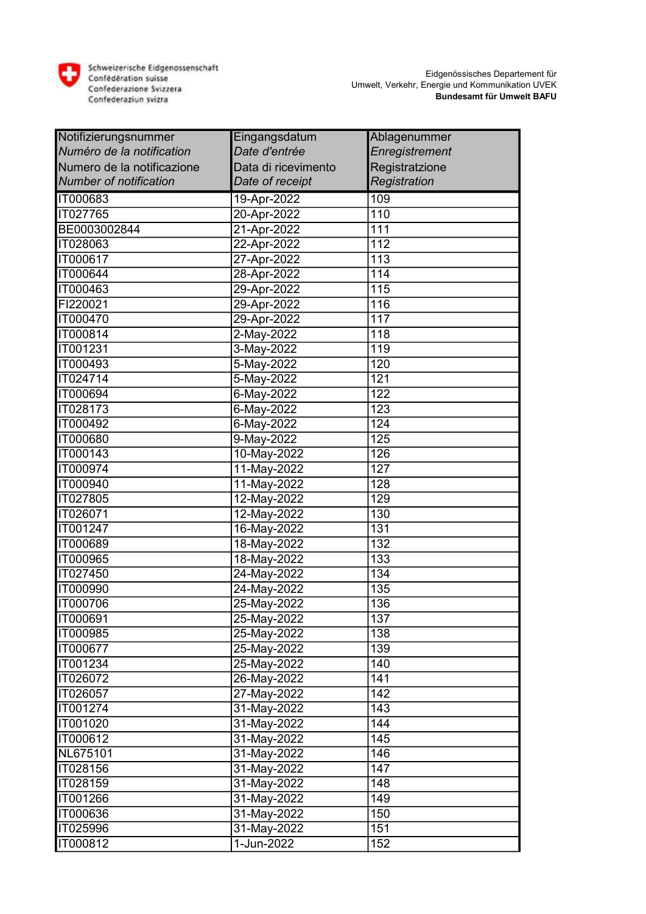

| Notifizierungsnummer       | Eingangsdatum       | Ablagenummer     |
|----------------------------|---------------------|------------------|
| Numéro de la notification  | Date d'entrée       | Enregistrement   |
| Numero de la notificazione | Data di ricevimento | Registratzione   |
| Number of notification     | Date of receipt     | Registration     |
| IT000683                   | 19-Apr-2022         | 109              |
| IT027765                   | 20-Apr-2022         | 110              |
| BE0003002844               | 21-Apr-2022         | 111              |
| IT028063                   | 22-Apr-2022         | 112              |
| IT000617                   | 27-Apr-2022         | $\overline{113}$ |
| IT000644                   | 28-Apr-2022         | 114              |
| IT000463                   | 29-Apr-2022         | 115              |
| FI220021                   | 29-Apr-2022         | 116              |
| IT000470                   | 29-Apr-2022         | 117              |
| IT000814                   | 2-May-2022          | 118              |
| IT001231                   | 3-May-2022          | 119              |
| IT000493                   | 5-May-2022          | 120              |
| IT024714                   | 5-May-2022          | 121              |
| IT000694                   | 6-May-2022          | 122              |
| <b>IT028173</b>            | 6-May-2022          | 123              |
| IT000492                   | 6-May-2022          | 124              |
| IT000680                   | 9-May-2022          | 125              |
| <b>IT000143</b>            | 10-May-2022         | 126              |
| IT000974                   | 11-May-2022         | 127              |
| IT000940                   | 11-May-2022         | 128              |
| IT027805                   | 12-May-2022         | 129              |
| IT026071                   | 12-May-2022         | 130              |
| IT001247                   | 16-May-2022         | 131              |
| IT000689                   | 18-May-2022         | 132              |
| IT000965                   | 18-May-2022         | 133              |
| IT027450                   | 24-May-2022         | 134              |
| IT000990                   | 24-May-2022         | 135              |
| IT000706                   | 25-May-2022         | 136              |
| <b>IT000691</b>            | 25-May-2022         | 137              |
| IT000985                   | 25-May-2022         | 138              |
| IT000677                   | 25-May-2022         | 139              |
| IT001234                   | 25-May-2022         | 140              |
| IT026072                   | 26-May-2022         | 141              |
| IT026057                   | 27-May-2022         | 142              |
| <b>IT001274</b>            | 31-May-2022         | 143              |
| IT001020                   | 31-May-2022         | 144              |
| IT000612                   | 31-May-2022         | 145              |
| NL675101                   | 31-May-2022         | 146              |
| IT028156                   | 31-May-2022         | 147              |
| IT028159                   | 31-May-2022         | 148              |
| IT001266                   | 31-May-2022         | 149              |
| IT000636                   | 31-May-2022         | 150              |
| IT025996                   | 31-May-2022         | 151              |
| IT000812                   | 1-Jun-2022          | 152              |